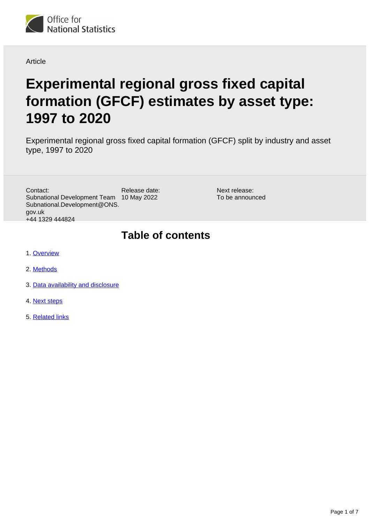

Article

# **Experimental regional gross fixed capital formation (GFCF) estimates by asset type: 1997 to 2020**

Experimental regional gross fixed capital formation (GFCF) split by industry and asset type, 1997 to 2020

Release date: Subnational Development Team 10 May 2022 Contact: Subnational.Development@ONS. gov.uk +44 1329 444824

Next release: To be announced

# **Table of contents**

- 1. [Overview](#page-1-0)
- 2. [Methods](#page-1-1)
- 3. [Data availability and disclosure](#page-5-0)
- 4. [Next steps](#page-6-0)
- 5. [Related links](#page-6-1)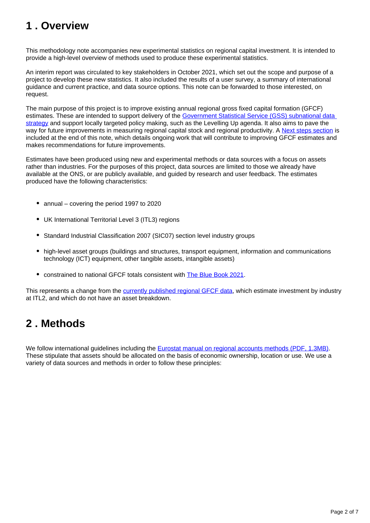# <span id="page-1-0"></span>**1 . Overview**

This methodology note accompanies new experimental statistics on regional capital investment. It is intended to provide a high-level overview of methods used to produce these experimental statistics.

An interim report was circulated to key stakeholders in October 2021, which set out the scope and purpose of a project to develop these new statistics. It also included the results of a user survey, a summary of international guidance and current practice, and data source options. This note can be forwarded to those interested, on request.

The main purpose of this project is to improve existing annual regional gross fixed capital formation (GFCF) estimates. These are intended to support delivery of the Government Statistical Service (GSS) subnational data [strategy](https://gss.civilservice.gov.uk/policy-store/gss-subnational-data-strategy/) and support locally targeted policy making, such as the Levelling Up agenda. It also aims to pave the way for future improvements in measuring regional capital stock and regional productivity. A [Next steps section](https://www.ons.gov.uk/economy/regionalaccounts/grossdisposablehouseholdincome/articles/experimentalregionalgrossfixedcapitalformationgfcfestimatesbyassettype1997to2020/2022-05-10#next-steps) is included at the end of this note, which details ongoing work that will contribute to improving GFCF estimates and makes recommendations for future improvements.

Estimates have been produced using new and experimental methods or data sources with a focus on assets rather than industries. For the purposes of this project, data sources are limited to those we already have available at the ONS, or are publicly available, and guided by research and user feedback. The estimates produced have the following characteristics:

- annual covering the period 1997 to 2020
- UK International Territorial Level 3 (ITL3) regions
- Standard Industrial Classification 2007 (SIC07) section level industry groups
- high-level asset groups (buildings and structures, transport equipment, information and communications technology (ICT) equipment, other tangible assets, intangible assets)
- constrained to national GFCF totals consistent with [The Blue Book 2021](https://www.ons.gov.uk/economy/grossdomesticproductgdp/compendium/unitedkingdomnationalaccountsthebluebook/2021).

This represents a change from the [currently published regional GFCF data](https://www.ons.gov.uk/economy/regionalaccounts/grossdisposablehouseholdincome/adhocs/14608regionalgrossfixedcapitalformationitl1anditl22000to2020), which estimate investment by industry at ITL2, and which do not have an asset breakdown.

# <span id="page-1-1"></span>**2 . Methods**

We follow international guidelines including the [Eurostat manual on regional accounts methods \(PDF, 1.3MB\).](https://ec.europa.eu/eurostat/documents/3859598/5937641/KS-GQ-13-001-EN.PDF.pdf/7114fba9-1a3f-43df-b028-e97232b6bac5?t=1414783024000) These stipulate that assets should be allocated on the basis of economic ownership, location or use. We use a variety of data sources and methods in order to follow these principles: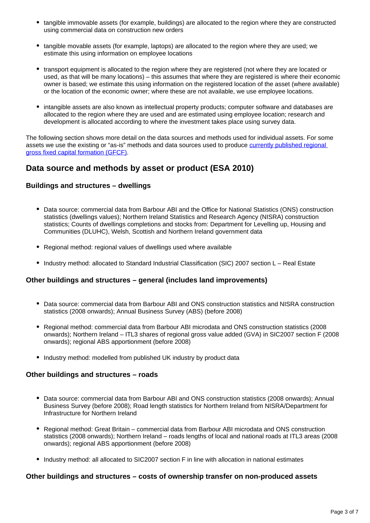- tangible immovable assets (for example, buildings) are allocated to the region where they are constructed using commercial data on construction new orders
- tangible movable assets (for example, laptops) are allocated to the region where they are used; we estimate this using information on employee locations
- transport equipment is allocated to the region where they are registered (not where they are located or used, as that will be many locations) – this assumes that where they are registered is where their economic owner is based; we estimate this using information on the registered location of the asset (where available) or the location of the economic owner; where these are not available, we use employee locations.
- intangible assets are also known as intellectual property products; computer software and databases are allocated to the region where they are used and are estimated using employee location; research and development is allocated according to where the investment takes place using survey data.

The following section shows more detail on the data sources and methods used for individual assets. For some assets we use the existing or "as-is" methods and data sources used to produce currently published regional [gross fixed capital formation \(GFCF\)](https://www.ons.gov.uk/economy/regionalaccounts/grossdisposablehouseholdincome/adhocs/14608regionalgrossfixedcapitalformationitl1anditl22000to2020).

### **Data source and methods by asset or product (ESA 2010)**

#### **Buildings and structures – dwellings**

- Data source: commercial data from Barbour ABI and the Office for National Statistics (ONS) construction statistics (dwellings values); Northern Ireland Statistics and Research Agency (NISRA) construction statistics; Counts of dwellings completions and stocks from: Department for Levelling up, Housing and Communities (DLUHC), Welsh, Scottish and Northern Ireland government data
- Regional method: regional values of dwellings used where available
- Industry method: allocated to Standard Industrial Classification (SIC) 2007 section L Real Estate

#### **Other buildings and structures – general (includes land improvements)**

- Data source: commercial data from Barbour ABI and ONS construction statistics and NISRA construction statistics (2008 onwards); Annual Business Survey (ABS) (before 2008)
- Regional method: commercial data from Barbour ABI microdata and ONS construction statistics (2008 onwards); Northern Ireland – ITL3 shares of regional gross value added (GVA) in SIC2007 section F (2008 onwards); regional ABS apportionment (before 2008)
- Industry method: modelled from published UK industry by product data

#### **Other buildings and structures – roads**

- Data source: commercial data from Barbour ABI and ONS construction statistics (2008 onwards); Annual Business Survey (before 2008); Road length statistics for Northern Ireland from NISRA/Department for Infrastructure for Northern Ireland
- Regional method: Great Britain commercial data from Barbour ABI microdata and ONS construction statistics (2008 onwards); Northern Ireland – roads lengths of local and national roads at ITL3 areas (2008 onwards); regional ABS apportionment (before 2008)
- Industry method: all allocated to SIC2007 section F in line with allocation in national estimates

#### **Other buildings and structures – costs of ownership transfer on non-produced assets**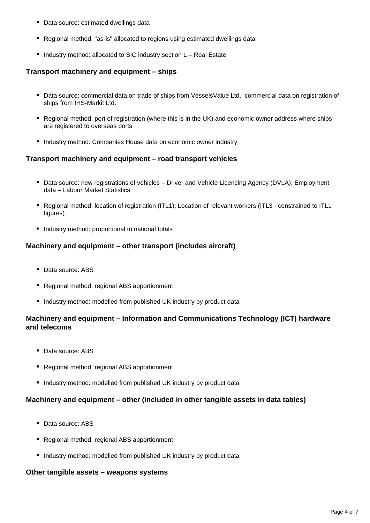- Data source: estimated dwellings data
- Regional method: "as-is" allocated to regions using estimated dwellings data
- Industry method: allocated to SIC industry section L Real Estate

#### **Transport machinery and equipment – ships**

- Data source: commercial data on trade of ships from VesselsValue Ltd.; commercial data on registration of ships from IHS-Markit Ltd.
- Regional method: port of registration (where this is in the UK) and economic owner address where ships are registered to overseas ports
- Industry method: Companies House data on economic owner industry

#### **Transport machinery and equipment – road transport vehicles**

- Data source: new registrations of vehicles Driver and Vehicle Licencing Agency (DVLA); Employment data – Labour Market Statistics
- Regional method: location of registration (ITL1); Location of relevant workers (ITL3 constrained to ITL1 figures)
- Industry method: proportional to national totals

#### **Machinery and equipment – other transport (includes aircraft)**

- Data source: ABS
- Regional method: regional ABS apportionment
- Industry method: modelled from published UK industry by product data

### **Machinery and equipment – Information and Communications Technology (ICT) hardware and telecoms**

- Data source: ABS
- Regional method: regional ABS apportionment
- Industry method: modelled from published UK industry by product data

#### **Machinery and equipment – other (included in other tangible assets in data tables)**

- Data source: ABS
- Regional method: regional ABS apportionment
- Industry method: modelled from published UK industry by product data

#### **Other tangible assets – weapons systems**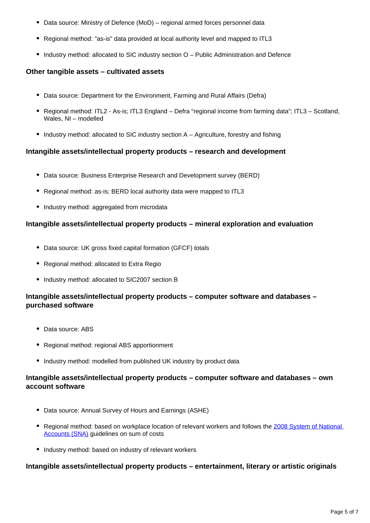- Data source: Ministry of Defence (MoD) regional armed forces personnel data
- Regional method: "as-is" data provided at local authority level and mapped to ITL3
- Industry method: allocated to SIC industry section O Public Administration and Defence

#### **Other tangible assets – cultivated assets**

- Data source: Department for the Environment, Farming and Rural Affairs (Defra)
- Regional method: ITL2 As-is; ITL3 England Defra "regional income from farming data"; ITL3 Scotland, Wales, NI – modelled
- Industry method: allocated to SIC industry section A Agriculture, forestry and fishing

#### **Intangible assets/intellectual property products – research and development**

- Data source: Business Enterprise Research and Development survey (BERD)
- Regional method: as-is; BERD local authority data were mapped to ITL3
- Industry method: aggregated from microdata

#### **Intangible assets/intellectual property products – mineral exploration and evaluation**

- Data source: UK gross fixed capital formation (GFCF) totals
- Regional method: allocated to Extra Regio
- Industry method: allocated to SIC2007 section B

#### **Intangible assets/intellectual property products – computer software and databases – purchased software**

- Data source: ABS
- Regional method: regional ABS apportionment
- Industry method: modelled from published UK industry by product data

#### **Intangible assets/intellectual property products – computer software and databases – own account software**

- Data source: Annual Survey of Hours and Earnings (ASHE)
- Regional method: based on workplace location of relevant workers and follows the 2008 System of National [Accounts \(SNA\)](https://unstats.un.org/unsd/nationalaccount/sna2008.asp) guidelines on sum of costs
- Industry method: based on industry of relevant workers

#### **Intangible assets/intellectual property products – entertainment, literary or artistic originals**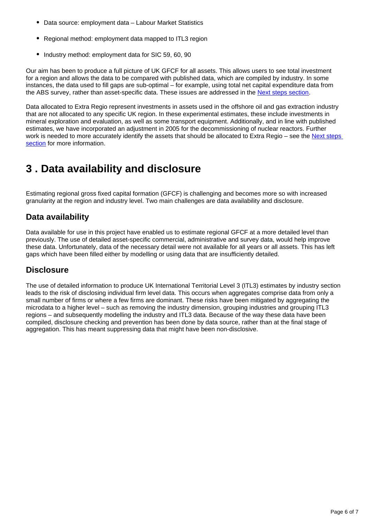- Data source: employment data Labour Market Statistics
- Regional method: employment data mapped to ITL3 region
- Industry method: employment data for SIC 59, 60, 90

Our aim has been to produce a full picture of UK GFCF for all assets. This allows users to see total investment for a region and allows the data to be compared with published data, which are compiled by industry. In some instances, the data used to fill gaps are sub-optimal – for example, using total net capital expenditure data from the ABS survey, rather than asset-specific data. These issues are addressed in the [Next steps section](https://www.ons.gov.uk/economy/regionalaccounts/grossdisposablehouseholdincome/articles/experimentalregionalgrossfixedcapitalformationgfcfestimatesbyassettype1997to2020/2022-05-10#next-steps).

Data allocated to Extra Regio represent investments in assets used in the offshore oil and gas extraction industry that are not allocated to any specific UK region. In these experimental estimates, these include investments in mineral exploration and evaluation, as well as some transport equipment. Additionally, and in line with published estimates, we have incorporated an adjustment in 2005 for the decommissioning of nuclear reactors. Further work is needed to more accurately identify the assets that should be allocated to Extra Regio – see the Next steps [section](https://www.ons.gov.uk/economy/regionalaccounts/grossdisposablehouseholdincome/articles/experimentalregionalgrossfixedcapitalformationgfcfestimatesbyassettype1997to2020/2022-05-10#next-steps) for more information.

### <span id="page-5-0"></span>**3 . Data availability and disclosure**

Estimating regional gross fixed capital formation (GFCF) is challenging and becomes more so with increased granularity at the region and industry level. Two main challenges are data availability and disclosure.

### **Data availability**

Data available for use in this project have enabled us to estimate regional GFCF at a more detailed level than previously. The use of detailed asset-specific commercial, administrative and survey data, would help improve these data. Unfortunately, data of the necessary detail were not available for all years or all assets. This has left gaps which have been filled either by modelling or using data that are insufficiently detailed.

### **Disclosure**

The use of detailed information to produce UK International Territorial Level 3 (ITL3) estimates by industry section leads to the risk of disclosing individual firm level data. This occurs when aggregates comprise data from only a small number of firms or where a few firms are dominant. These risks have been mitigated by aggregating the microdata to a higher level – such as removing the industry dimension, grouping industries and grouping ITL3 regions – and subsequently modelling the industry and ITL3 data. Because of the way these data have been compiled, disclosure checking and prevention has been done by data source, rather than at the final stage of aggregation. This has meant suppressing data that might have been non-disclosive.